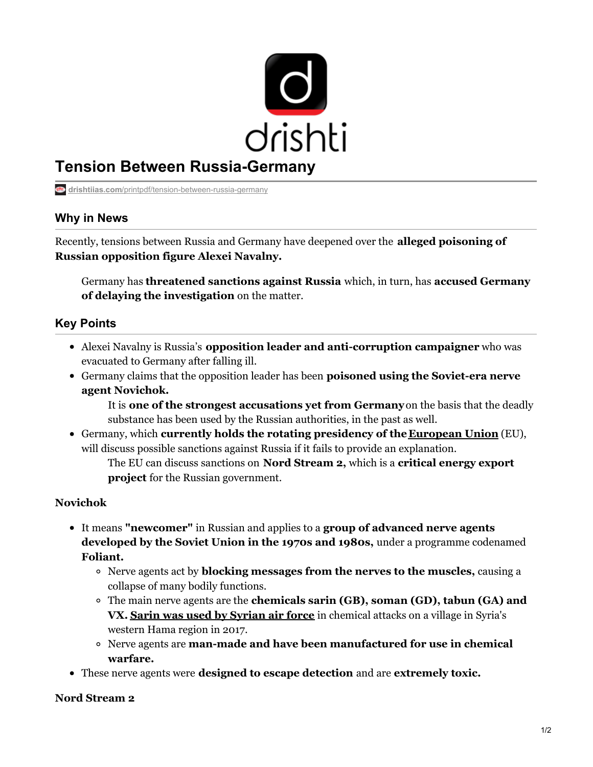

# **Tension Between Russia-Germany**

**drishtiias.com**[/printpdf/tension-between-russia-germany](https://www.drishtiias.com/printpdf/tension-between-russia-germany)

## **Why in News**

Recently, tensions between Russia and Germany have deepened over the **alleged poisoning of Russian opposition figure Alexei Navalny.**

Germany has **threatened sanctions against Russia** which, in turn, has **accused Germany of delaying the investigation** on the matter.

## **Key Points**

- Alexei Navalny is Russia's **opposition leader and anti-corruption campaigner** who was evacuated to Germany after falling ill.
- Germany claims that the opposition leader has been **poisoned using the Soviet-era nerve agent Novichok.**

It is **one of the strongest accusations yet from Germany**on the basis that the deadly substance has been used by the Russian authorities, in the past as well.

Germany, which **currently holds the rotating presidency of the [European](https://www.drishtiias.com/important-institutions/drishti-specials-important-institutions-international-institution/european-union) Union** (EU), will discuss possible sanctions against Russia if it fails to provide an explanation.

The EU can discuss sanctions on **Nord Stream 2,** which is a **critical energy export project** for the Russian government.

#### **Novichok**

- It means **"newcomer"** in Russian and applies to a **group of advanced nerve agents developed by the Soviet Union in the 1970s and 1980s,** under a programme codenamed **Foliant.**
	- Nerve agents act by **blocking messages from the nerves to the muscles,** causing a collapse of many bodily functions.
	- The main nerve agents are the **chemicals sarin (GB), soman (GD), tabun (GA) and VX. Sarin was used by [Syrian](https://www.drishtiias.com/daily-updates/daily-news-analysis/syrian-air-force-behind-chemical-attacks) air force** in chemical attacks on a village in Syria's western Hama region in 2017.
	- Nerve agents are **man-made and have been manufactured for use in chemical warfare.**
- These nerve agents were **designed to escape detection** and are **extremely toxic.**

#### **Nord Stream 2**